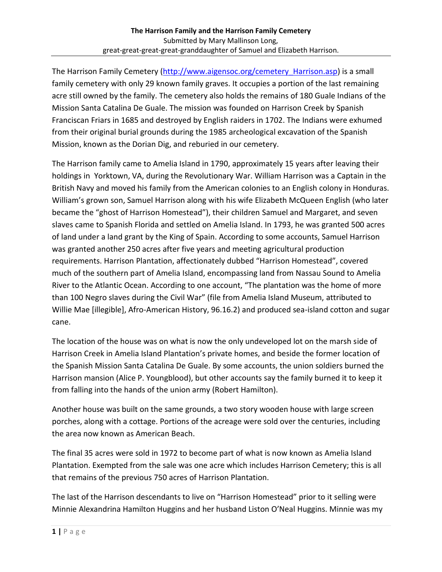The Harrison Family Cemetery (http://www.aigensoc.org/cemetery Harrison.asp) is a small family cemetery with only 29 known family graves. It occupies a portion of the last remaining acre still owned by the family. The cemetery also holds the remains of 180 Guale Indians of the Mission Santa Catalina De Guale. The mission was founded on Harrison Creek by Spanish Franciscan Friars in 1685 and destroyed by English raiders in 1702. The Indians were exhumed from their original burial grounds during the 1985 archeological excavation of the Spanish Mission, known as the Dorian Dig, and reburied in our cemetery.

The Harrison family came to Amelia Island in 1790, approximately 15 years after leaving their holdings in Yorktown, VA, during the Revolutionary War. William Harrison was a Captain in the British Navy and moved his family from the American colonies to an English colony in Honduras. William's grown son, Samuel Harrison along with his wife Elizabeth McQueen English (who later became the "ghost of Harrison Homestead"), their children Samuel and Margaret, and seven slaves came to Spanish Florida and settled on Amelia Island. In 1793, he was granted 500 acres of land under a land grant by the King of Spain. According to some accounts, Samuel Harrison was granted another 250 acres after five years and meeting agricultural production requirements. Harrison Plantation, affectionately dubbed "Harrison Homestead", covered much of the southern part of Amelia Island, encompassing land from Nassau Sound to Amelia River to the Atlantic Ocean. According to one account, "The plantation was the home of more than 100 Negro slaves during the Civil War" (file from Amelia Island Museum, attributed to Willie Mae [illegible], Afro-American History, 96.16.2) and produced sea-island cotton and sugar cane.

The location of the house was on what is now the only undeveloped lot on the marsh side of Harrison Creek in Amelia Island Plantation's private homes, and beside the former location of the Spanish Mission Santa Catalina De Guale. By some accounts, the union soldiers burned the Harrison mansion (Alice P. Youngblood), but other accounts say the family burned it to keep it from falling into the hands of the union army (Robert Hamilton).

Another house was built on the same grounds, a two story wooden house with large screen porches, along with a cottage. Portions of the acreage were sold over the centuries, including the area now known as American Beach.

The final 35 acres were sold in 1972 to become part of what is now known as Amelia Island Plantation. Exempted from the sale was one acre which includes Harrison Cemetery; this is all that remains of the previous 750 acres of Harrison Plantation.

The last of the Harrison descendants to live on "Harrison Homestead" prior to it selling were Minnie Alexandrina Hamilton Huggins and her husband Liston O'Neal Huggins. Minnie was my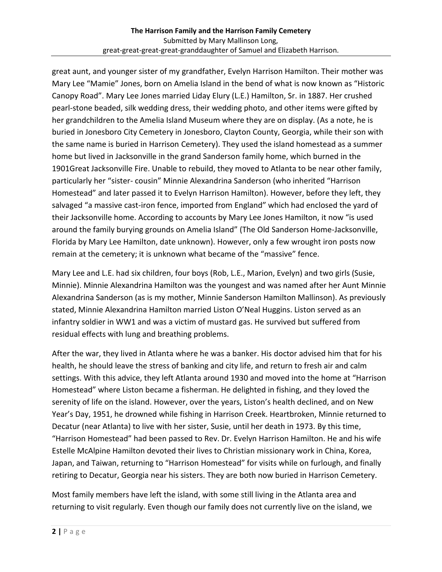great aunt, and younger sister of my grandfather, Evelyn Harrison Hamilton. Their mother was Mary Lee "Mamie" Jones, born on Amelia Island in the bend of what is now known as "Historic Canopy Road". Mary Lee Jones married Liday Elury (L.E.) Hamilton, Sr. in 1887. Her crushed pearl-stone beaded, silk wedding dress, their wedding photo, and other items were gifted by her grandchildren to the Amelia Island Museum where they are on display. (As a note, he is buried in Jonesboro City Cemetery in Jonesboro, Clayton County, Georgia, while their son with the same name is buried in Harrison Cemetery). They used the island homestead as a summer home but lived in Jacksonville in the grand Sanderson family home, which burned in the 1901Great Jacksonville Fire. Unable to rebuild, they moved to Atlanta to be near other family, particularly her "sister- cousin" Minnie Alexandrina Sanderson (who inherited "Harrison Homestead" and later passed it to Evelyn Harrison Hamilton). However, before they left, they salvaged "a massive cast-iron fence, imported from England" which had enclosed the yard of their Jacksonville home. According to accounts by Mary Lee Jones Hamilton, it now "is used around the family burying grounds on Amelia Island" (The Old Sanderson Home-Jacksonville, Florida by Mary Lee Hamilton, date unknown). However, only a few wrought iron posts now remain at the cemetery; it is unknown what became of the "massive" fence.

Mary Lee and L.E. had six children, four boys (Rob, L.E., Marion, Evelyn) and two girls (Susie, Minnie). Minnie Alexandrina Hamilton was the youngest and was named after her Aunt Minnie Alexandrina Sanderson (as is my mother, Minnie Sanderson Hamilton Mallinson). As previously stated, Minnie Alexandrina Hamilton married Liston O'Neal Huggins. Liston served as an infantry soldier in WW1 and was a victim of mustard gas. He survived but suffered from residual effects with lung and breathing problems.

After the war, they lived in Atlanta where he was a banker. His doctor advised him that for his health, he should leave the stress of banking and city life, and return to fresh air and calm settings. With this advice, they left Atlanta around 1930 and moved into the home at "Harrison Homestead" where Liston became a fisherman. He delighted in fishing, and they loved the serenity of life on the island. However, over the years, Liston's health declined, and on New Year's Day, 1951, he drowned while fishing in Harrison Creek. Heartbroken, Minnie returned to Decatur (near Atlanta) to live with her sister, Susie, until her death in 1973. By this time, "Harrison Homestead" had been passed to Rev. Dr. Evelyn Harrison Hamilton. He and his wife Estelle McAlpine Hamilton devoted their lives to Christian missionary work in China, Korea, Japan, and Taiwan, returning to "Harrison Homestead" for visits while on furlough, and finally retiring to Decatur, Georgia near his sisters. They are both now buried in Harrison Cemetery.

Most family members have left the island, with some still living in the Atlanta area and returning to visit regularly. Even though our family does not currently live on the island, we